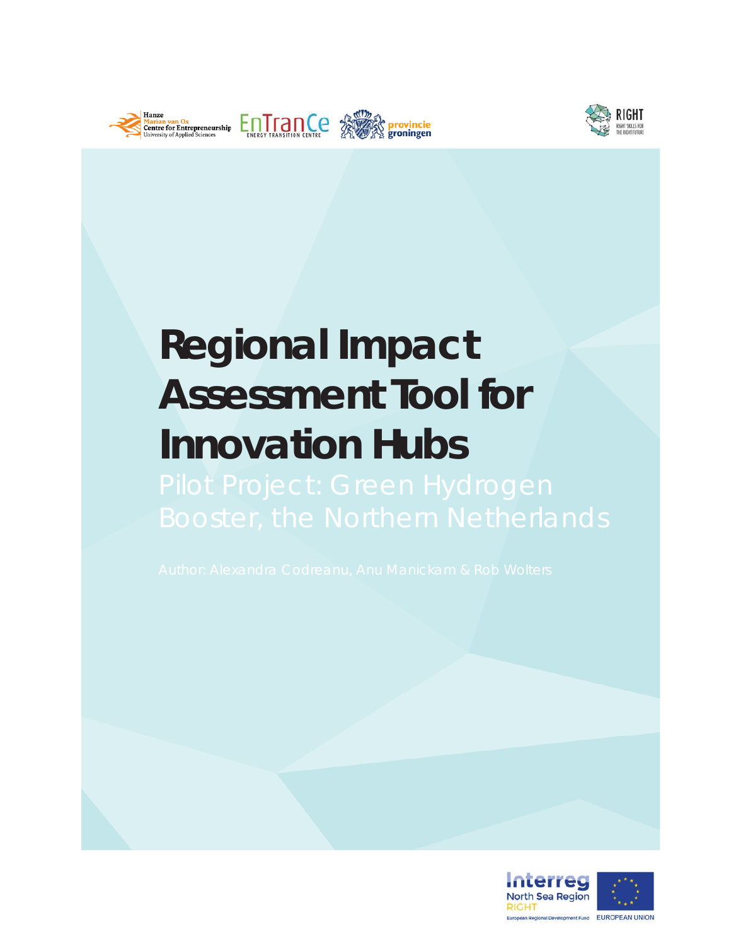



# **Regional Impact Assessment Tool for Innovation Hubs**

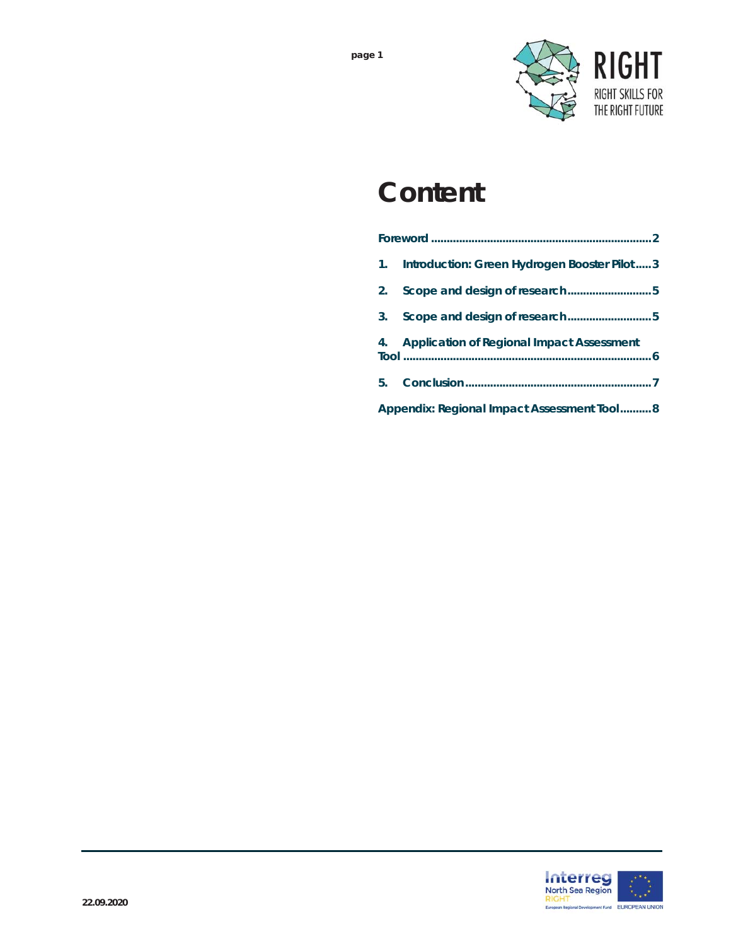

### **Content**

| 1.                                         | Introduction: Green Hydrogen Booster Pilot3  |
|--------------------------------------------|----------------------------------------------|
| 2.                                         | Scope and design of research5                |
| 3.                                         | Scope and design of research5                |
|                                            | 4. Application of Regional Impact Assessment |
| 5.                                         |                                              |
| Appendix: Regional Impact Assessment Tool8 |                                              |

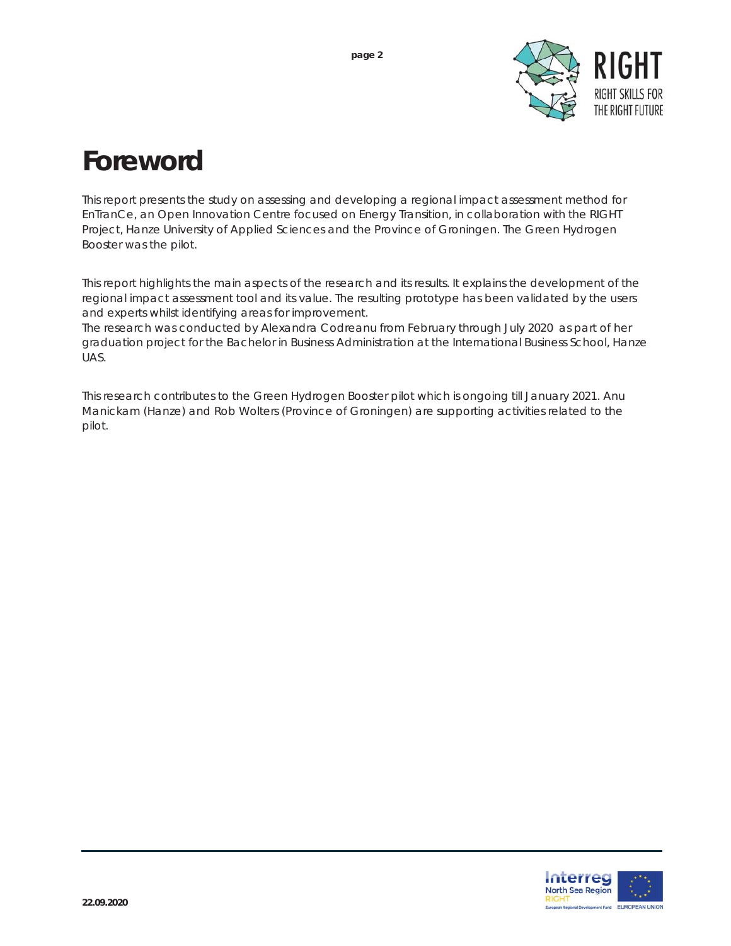

### **Foreword**

This report presents the study on assessing and developing a regional impact assessment method for EnTranCe, an Open Innovation Centre focused on Energy Transition, in collaboration with the RIGHT Project, Hanze University of Applied Sciences and the Province of Groningen. The Green Hydrogen Booster was the pilot.

This report highlights the main aspects of the research and its results. It explains the development of the regional impact assessment tool and its value. The resulting prototype has been validated by the users and experts whilst identifying areas for improvement.

The research was conducted by Alexandra Codreanu from February through July 2020 as part of her graduation project for the Bachelor in Business Administration at the International Business School, Hanze UAS.

This research contributes to the Green Hydrogen Booster pilot which is ongoing till January 2021. Anu Manickam (Hanze) and Rob Wolters (Province of Groningen) are supporting activities related to the pilot.

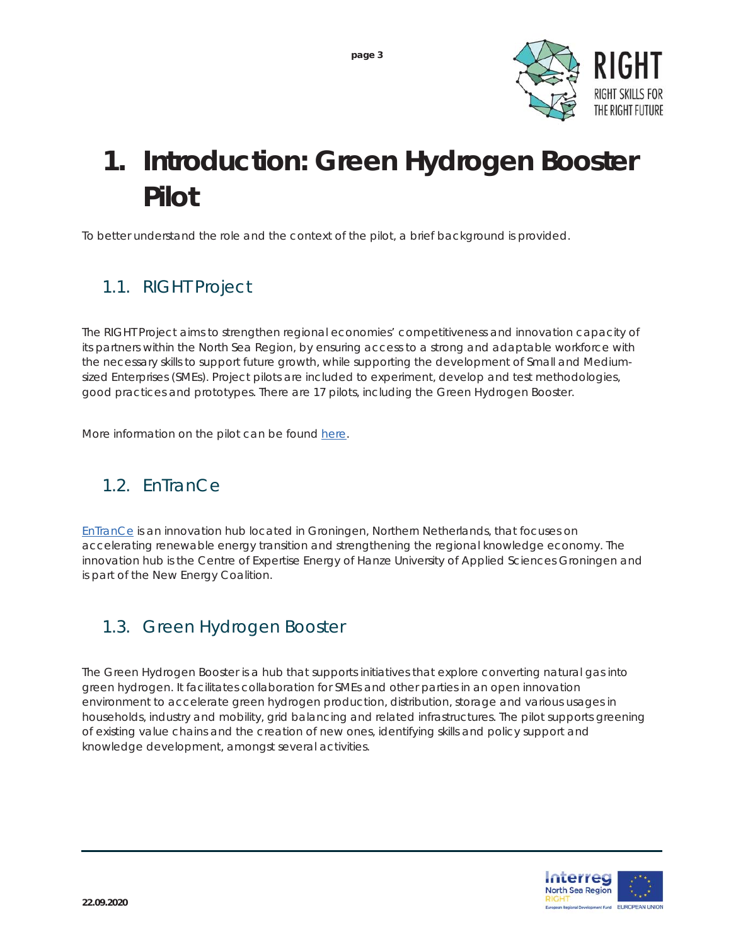

## **1. Introduction: Green Hydrogen Booster Pilot**

To better understand the role and the context of the pilot, a brief background is provided.

#### *1.1. RIGHT Project*

The RIGHT Project aims to strengthen regional economies' competitiveness and innovation capacity of its partners within the North Sea Region, by ensuring access to a strong and adaptable workforce with the necessary skills to support future growth, while supporting the development of Small and Mediumsized Enterprises (SMEs). Project pilots are included to experiment, develop and test methodologies, good practices and prototypes. There are 17 pilots, including the Green Hydrogen Booster.

More information on the pilot can be found here.

#### *1.2. EnTranCe*

EnTranCe is an innovation hub located in Groningen, Northern Netherlands, that focuses on accelerating renewable energy transition and strengthening the regional knowledge economy. The innovation hub is the Centre of Expertise Energy of Hanze University of Applied Sciences Groningen and is part of the New Energy Coalition.

#### *1.3. Green Hydrogen Booster*

The Green Hydrogen Booster is a hub that supports initiatives that explore converting natural gas into green hydrogen. It facilitates collaboration for SMEs and other parties in an open innovation environment to accelerate green hydrogen production, distribution, storage and various usages in households, industry and mobility, grid balancing and related infrastructures. The pilot supports greening of existing value chains and the creation of new ones, identifying skills and policy support and knowledge development, amongst several activities.

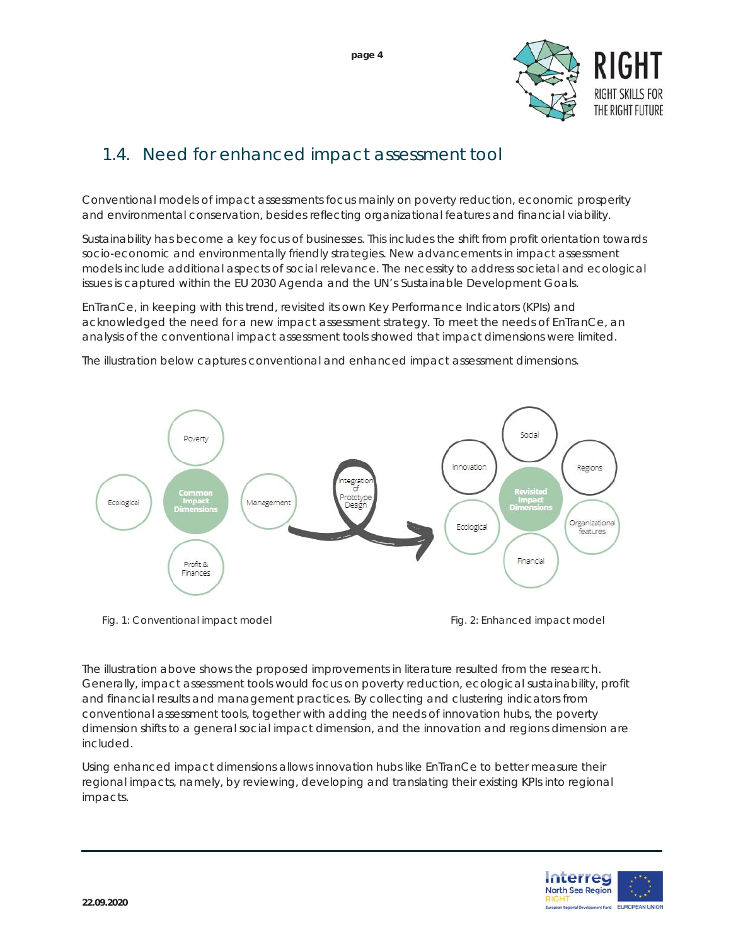

#### *1.4. Need for enhanced impact assessment tool*

Conventional models of impact assessments focus mainly on poverty reduction, economic prosperity and environmental conservation, besides reflecting organizational features and financial viability.

Sustainability has become a key focus of businesses. This includes the shift from profit orientation towards socio-economic and environmentally friendly strategies. New advancements in impact assessment models include additional aspects of social relevance. The necessity to address societal and ecological issues is captured within the EU 2030 Agenda and the UN's Sustainable Development Goals.

EnTranCe, in keeping with this trend, revisited its own Key Performance Indicators (KPIs) and acknowledged the need for a new impact assessment strategy. To meet the needs of EnTranCe, an analysis of the conventional impact assessment tools showed that impact dimensions were limited.

The illustration below captures conventional and enhanced impact assessment dimensions.



The illustration above shows the proposed improvements in literature resulted from the research. Generally, impact assessment tools would focus on poverty reduction, ecological sustainability, profit and financial results and management practices. By collecting and clustering indicators from conventional assessment tools, together with adding the needs of innovation hubs, the poverty dimension shifts to a general social impact dimension, and the innovation and regions dimension are included.

Using enhanced impact dimensions allows innovation hubs like EnTranCe to better measure their regional impacts, namely, by reviewing, developing and translating their existing KPIs into regional impacts.

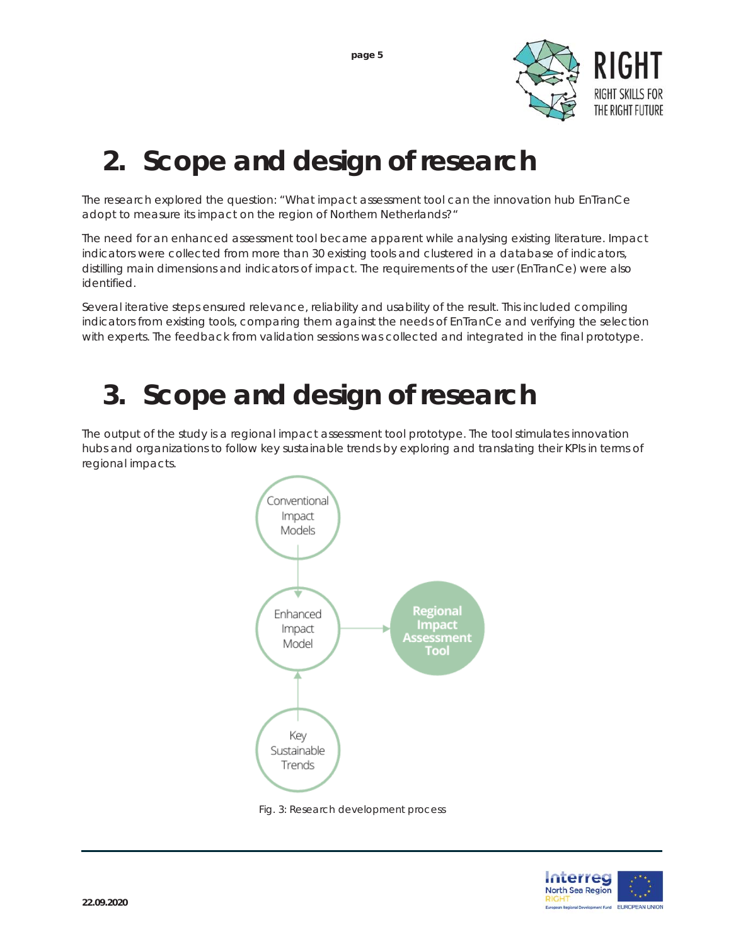

### **2. Scope and design of research**

The research explored the question: "What impact assessment tool can the innovation hub EnTranCe adopt to measure its impact on the region of Northern Netherlands?"

The need for an enhanced assessment tool became apparent while analysing existing literature. Impact indicators were collected from more than 30 existing tools and clustered in a database of indicators, distilling main dimensions and indicators of impact. The requirements of the user (EnTranCe) were also identified.

Several iterative steps ensured relevance, reliability and usability of the result. This included compiling indicators from existing tools, comparing them against the needs of EnTranCe and verifying the selection with experts. The feedback from validation sessions was collected and integrated in the final prototype.

### **3. Scope and design of research**

The output of the study is a regional impact assessment tool prototype. The tool stimulates innovation hubs and organizations to follow key sustainable trends by exploring and translating their KPIs in terms of regional impacts.



 *Fig. 3: Research development process*

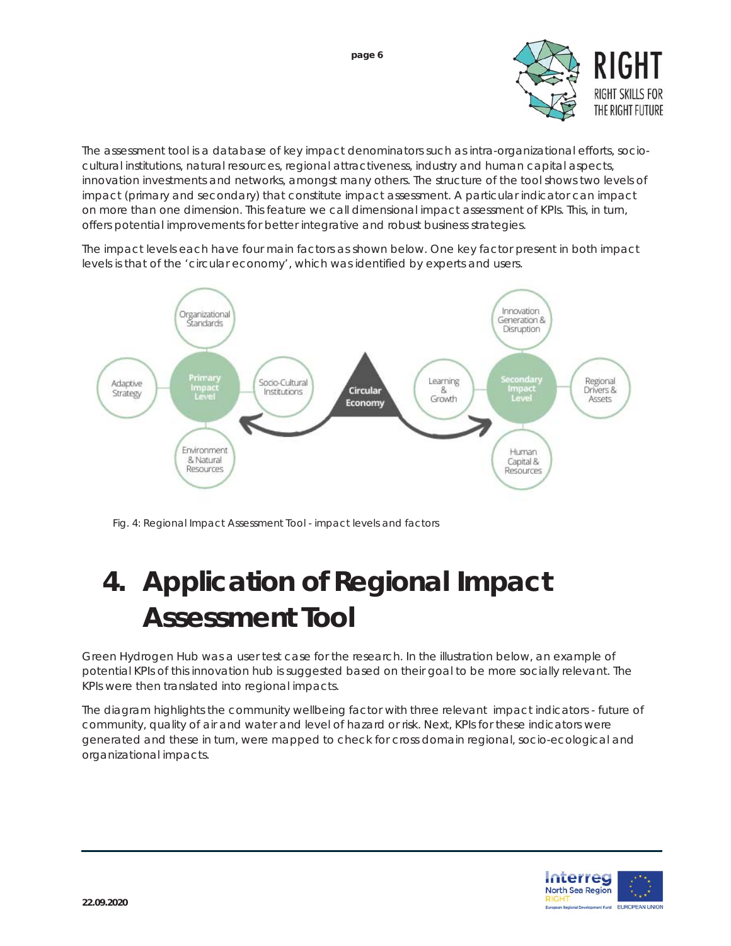

The assessment tool is a database of key impact denominators such as intra-organizational efforts, sociocultural institutions, natural resources, regional attractiveness, industry and human capital aspects, innovation investments and networks, amongst many others. The structure of the tool shows two levels of impact (primary and secondary) that constitute impact assessment. A particular indicator can impact on more than one dimension. This feature we call dimensional impact assessment of KPIs. This, in turn, offers potential improvements for better integrative and robust business strategies.

The impact levels each have four main factors as shown below. One key factor present in both impact levels is that of the 'circular economy', which was identified by experts and users.



 *Fig. 4: Regional Impact Assessment Tool - impact levels and factors*

# **4. Application of Regional Impact Assessment Tool**

Green Hydrogen Hub was a user test case for the research. In the illustration below, an example of potential KPIs of this innovation hub is suggested based on their goal to be more socially relevant. The KPIs were then translated into regional impacts.

The diagram highlights the community wellbeing factor with three relevant impact indicators - future of community, quality of air and water and level of hazard or risk. Next, KPIs for these indicators were generated and these in turn, were mapped to check for cross domain regional, socio-ecological and organizational impacts.

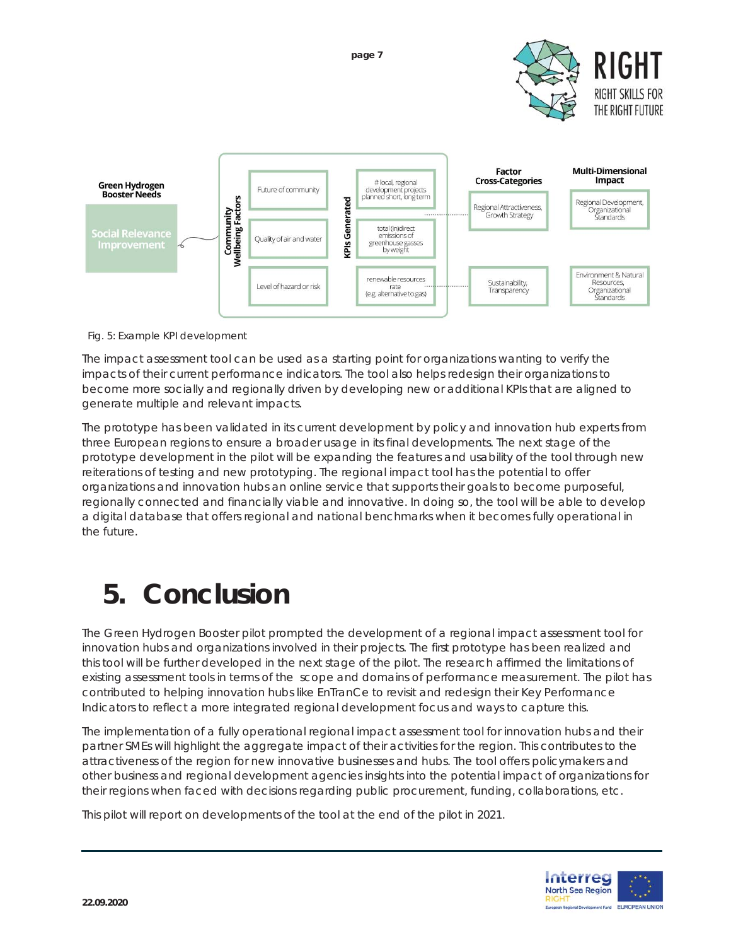**page 7** 





*Fig. 5: Example KPI development*

The impact assessment tool can be used as a starting point for organizations wanting to verify the impacts of their current performance indicators. The tool also helps redesign their organizations to become more socially and regionally driven by developing new or additional KPIs that are aligned to generate multiple and relevant impacts.

The prototype has been validated in its current development by policy and innovation hub experts from three European regions to ensure a broader usage in its final developments. The next stage of the prototype development in the pilot will be expanding the features and usability of the tool through new reiterations of testing and new prototyping. The regional impact tool has the potential to offer organizations and innovation hubs an online service that supports their goals to become purposeful, regionally connected and financially viable and innovative. In doing so, the tool will be able to develop a digital database that offers regional and national benchmarks when it becomes fully operational in the future.

## **5. Conclusion**

The Green Hydrogen Booster pilot prompted the development of a regional impact assessment tool for innovation hubs and organizations involved in their projects. The first prototype has been realized and this tool will be further developed in the next stage of the pilot. The research affirmed the limitations of existing assessment tools in terms of the scope and domains of performance measurement. The pilot has contributed to helping innovation hubs like EnTranCe to revisit and redesign their Key Performance Indicators to reflect a more integrated regional development focus and ways to capture this.

The implementation of a fully operational regional impact assessment tool for innovation hubs and their partner SMEs will highlight the aggregate impact of their activities for the region. This contributes to the attractiveness of the region for new innovative businesses and hubs. The tool offers policymakers and other business and regional development agencies insights into the potential impact of organizations for their regions when faced with decisions regarding public procurement, funding, collaborations, etc.

This pilot will report on developments of the tool at the end of the pilot in 2021.